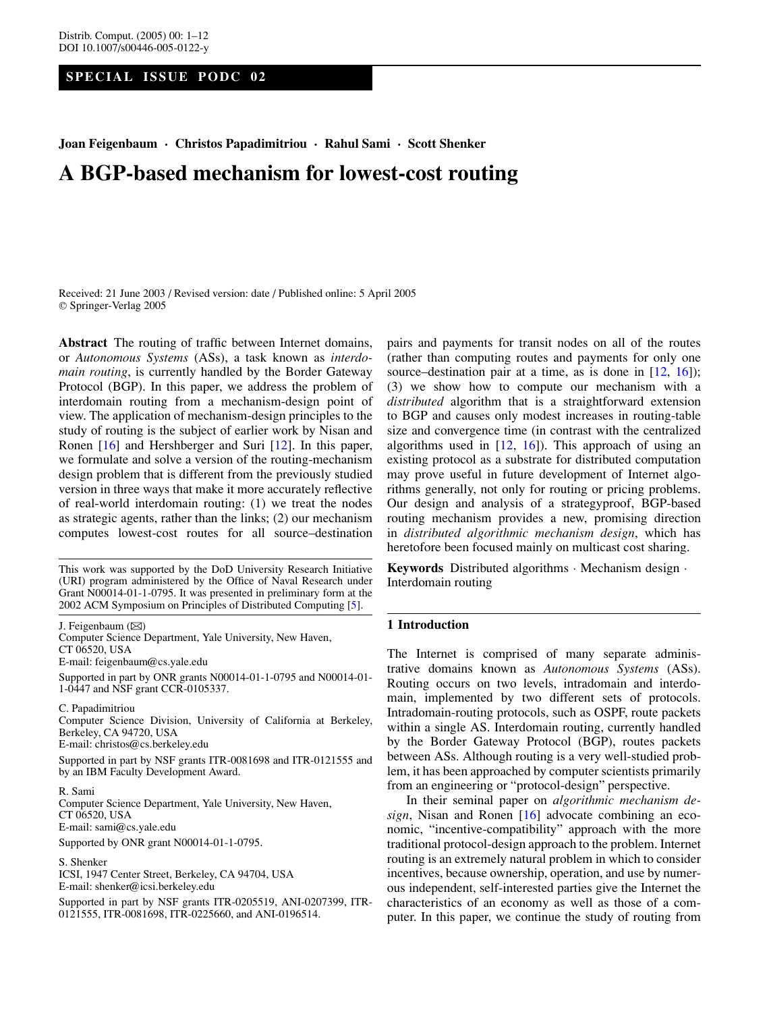# **SPECIAL ISSUE PODC 02**

**Joan Feigenbaum · Christos Papadimitriou · Rahul Sami · Scott Shenker**

# **A BGP-based mechanism for lowest-cost routing**

Received: 21 June 2003 / Revised version: date / Published online: 5 April 2005 <sup>C</sup> Springer-Verlag 2005

**Abstract** The routing of traffic between Internet domains, or *Autonomous Systems* (ASs), a task known as *interdomain routing*, is currently handled by the Border Gateway Protocol (BGP). In this paper, we address the problem of interdomain routing from a mechanism-design point of view. The application of mechanism-design principles to the study of routing is the subject of earlier work by Nisan and Ronen [\[16\]](#page-10-0) and Hershberger and Suri [\[12](#page-10-1)]. In this paper, we formulate and solve a version of the routing-mechanism design problem that is different from the previously studied version in three ways that make it more accurately reflective of real-world interdomain routing: (1) we treat the nodes as strategic agents, rather than the links; (2) our mechanism computes lowest-cost routes for all source–destination

This work was supported by the DoD University Research Initiative (URI) program administered by the Office of Naval Research under Grant N00014-01-1-0795. It was presented in preliminary form at the 2002 ACM Symposium on Principles of Distributed Computing [\[5\]](#page-10-2).

J. Feigenbaum (B)

Computer Science Department, Yale University, New Haven, CT 06520, USA

E-mail: feigenbaum@cs.yale.edu

Supported in part by ONR grants N00014-01-1-0795 and N00014-01- 1-0447 and NSF grant CCR-0105337.

C. Papadimitriou Computer Science Division, University of California at Berkeley, Berkeley, CA 94720, USA

E-mail: christos@cs.berkeley.edu

Supported in part by NSF grants ITR-0081698 and ITR-0121555 and by an IBM Faculty Development Award.

R. Sami

Computer Science Department, Yale University, New Haven, CT 06520, USA

E-mail: sami@cs.yale.edu

Supported by ONR grant N00014-01-1-0795.

S. Shenker

ICSI, 1947 Center Street, Berkeley, CA 94704, USA E-mail: shenker@icsi.berkeley.edu

Supported in part by NSF grants ITR-0205519, ANI-0207399, ITR-0121555, ITR-0081698, ITR-0225660, and ANI-0196514.

pairs and payments for transit nodes on all of the routes (rather than computing routes and payments for only one source–destination pair at a time, as is done in [\[12](#page-10-1), [16](#page-10-0)]); (3) we show how to compute our mechanism with a *distributed* algorithm that is a straightforward extension to BGP and causes only modest increases in routing-table size and convergence time (in contrast with the centralized algorithms used in  $[12, 16]$  $[12, 16]$  $[12, 16]$  $[12, 16]$ . This approach of using an existing protocol as a substrate for distributed computation may prove useful in future development of Internet algorithms generally, not only for routing or pricing problems. Our design and analysis of a strategyproof, BGP-based routing mechanism provides a new, promising direction in *distributed algorithmic mechanism design*, which has heretofore been focused mainly on multicast cost sharing.

**Keywords** Distributed algorithms · Mechanism design · Interdomain routing

## **1 Introduction**

The Internet is comprised of many separate administrative domains known as *Autonomous Systems* (ASs). Routing occurs on two levels, intradomain and interdomain, implemented by two different sets of protocols. Intradomain-routing protocols, such as OSPF, route packets within a single AS. Interdomain routing, currently handled by the Border Gateway Protocol (BGP), routes packets between ASs. Although routing is a very well-studied problem, it has been approached by computer scientists primarily from an engineering or "protocol-design" perspective.

In their seminal paper on *algorithmic mechanism design*, Nisan and Ronen [\[16](#page-10-0)] advocate combining an economic, "incentive-compatibility" approach with the more traditional protocol-design approach to the problem. Internet routing is an extremely natural problem in which to consider incentives, because ownership, operation, and use by numerous independent, self-interested parties give the Internet the characteristics of an economy as well as those of a computer. In this paper, we continue the study of routing from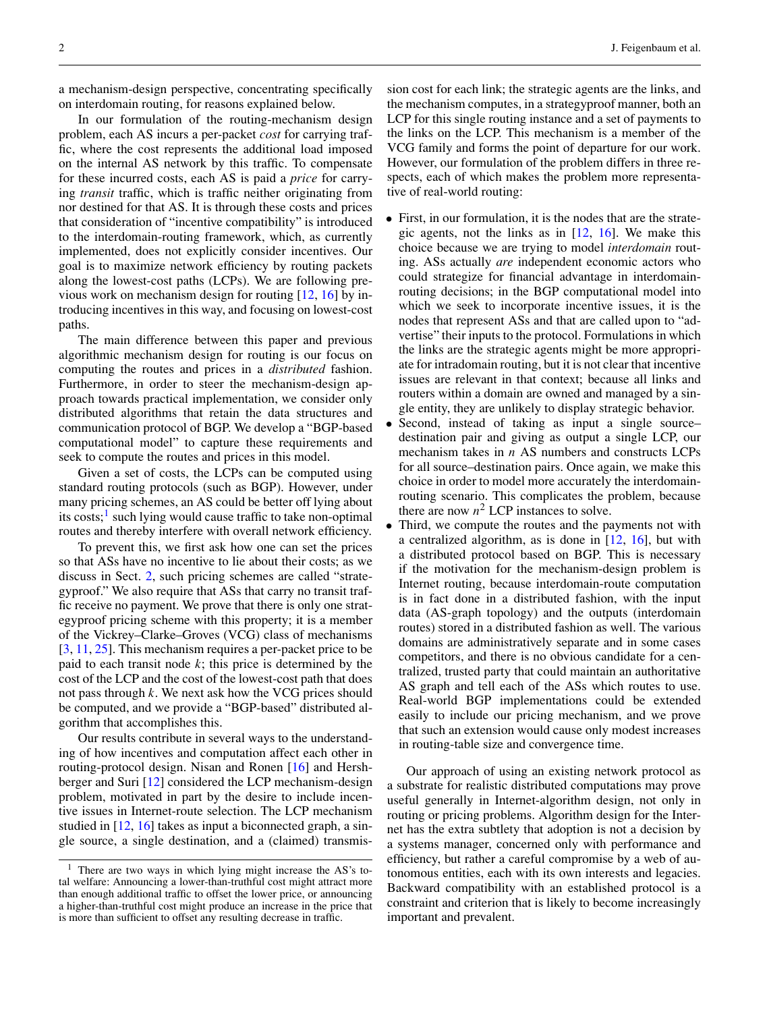a mechanism-design perspective, concentrating specifically on interdomain routing, for reasons explained below.

In our formulation of the routing-mechanism design problem, each AS incurs a per-packet *cost* for carrying traffic, where the cost represents the additional load imposed on the internal AS network by this traffic. To compensate for these incurred costs, each AS is paid a *price* for carrying *transit* traffic, which is traffic neither originating from nor destined for that AS. It is through these costs and prices that consideration of "incentive compatibility" is introduced to the interdomain-routing framework, which, as currently implemented, does not explicitly consider incentives. Our goal is to maximize network efficiency by routing packets along the lowest-cost paths (LCPs). We are following previous work on mechanism design for routing [\[12,](#page-10-1) [16](#page-10-0)] by introducing incentives in this way, and focusing on lowest-cost paths.

The main difference between this paper and previous algorithmic mechanism design for routing is our focus on computing the routes and prices in a *distributed* fashion. Furthermore, in order to steer the mechanism-design approach towards practical implementation, we consider only distributed algorithms that retain the data structures and communication protocol of BGP. We develop a "BGP-based computational model" to capture these requirements and seek to compute the routes and prices in this model.

Given a set of costs, the LCPs can be computed using standard routing protocols (such as BGP). However, under many pricing schemes, an AS could be better off lying about its costs; $<sup>1</sup>$  $<sup>1</sup>$  $<sup>1</sup>$  such lying would cause traffic to take non-optimal</sup> routes and thereby interfere with overall network efficiency.

To prevent this, we first ask how one can set the prices so that ASs have no incentive to lie about their costs; as we discuss in Sect. [2,](#page-2-0) such pricing schemes are called "strategyproof." We also require that ASs that carry no transit traffic receive no payment. We prove that there is only one strategyproof pricing scheme with this property; it is a member of the Vickrey–Clarke–Groves (VCG) class of mechanisms [\[3](#page-10-3), [11,](#page-10-4) [25\]](#page-11-0). This mechanism requires a per-packet price to be paid to each transit node *k*; this price is determined by the cost of the LCP and the cost of the lowest-cost path that does not pass through *k*. We next ask how the VCG prices should be computed, and we provide a "BGP-based" distributed algorithm that accomplishes this.

Our results contribute in several ways to the understanding of how incentives and computation affect each other in routing-protocol design. Nisan and Ronen [\[16\]](#page-10-0) and Hershberger and Suri [\[12](#page-10-1)] considered the LCP mechanism-design problem, motivated in part by the desire to include incentive issues in Internet-route selection. The LCP mechanism studied in [\[12](#page-10-1), [16\]](#page-10-0) takes as input a biconnected graph, a single source, a single destination, and a (claimed) transmission cost for each link; the strategic agents are the links, and the mechanism computes, in a strategyproof manner, both an LCP for this single routing instance and a set of payments to the links on the LCP. This mechanism is a member of the VCG family and forms the point of departure for our work. However, our formulation of the problem differs in three respects, each of which makes the problem more representative of real-world routing:

- First, in our formulation, it is the nodes that are the strategic agents, not the links as in  $[12, 16]$  $[12, 16]$  $[12, 16]$  $[12, 16]$ . We make this choice because we are trying to model *interdomain* routing. ASs actually *are* independent economic actors who could strategize for financial advantage in interdomainrouting decisions; in the BGP computational model into which we seek to incorporate incentive issues, it is the nodes that represent ASs and that are called upon to "advertise" their inputs to the protocol. Formulations in which the links are the strategic agents might be more appropriate for intradomain routing, but it is not clear that incentive issues are relevant in that context; because all links and routers within a domain are owned and managed by a single entity, they are unlikely to display strategic behavior.
- Second, instead of taking as input a single source– destination pair and giving as output a single LCP, our mechanism takes in *n* AS numbers and constructs LCPs for all source–destination pairs. Once again, we make this choice in order to model more accurately the interdomainrouting scenario. This complicates the problem, because there are now  $n^2$  LCP instances to solve.
- Third, we compute the routes and the payments not with a centralized algorithm, as is done in [\[12](#page-10-1), [16\]](#page-10-0), but with a distributed protocol based on BGP. This is necessary if the motivation for the mechanism-design problem is Internet routing, because interdomain-route computation is in fact done in a distributed fashion, with the input data (AS-graph topology) and the outputs (interdomain routes) stored in a distributed fashion as well. The various domains are administratively separate and in some cases competitors, and there is no obvious candidate for a centralized, trusted party that could maintain an authoritative AS graph and tell each of the ASs which routes to use. Real-world BGP implementations could be extended easily to include our pricing mechanism, and we prove that such an extension would cause only modest increases in routing-table size and convergence time.

Our approach of using an existing network protocol as a substrate for realistic distributed computations may prove useful generally in Internet-algorithm design, not only in routing or pricing problems. Algorithm design for the Internet has the extra subtlety that adoption is not a decision by a systems manager, concerned only with performance and efficiency, but rather a careful compromise by a web of autonomous entities, each with its own interests and legacies. Backward compatibility with an established protocol is a constraint and criterion that is likely to become increasingly important and prevalent.

<span id="page-1-0"></span>There are two ways in which lying might increase the AS's total welfare: Announcing a lower-than-truthful cost might attract more than enough additional traffic to offset the lower price, or announcing a higher-than-truthful cost might produce an increase in the price that is more than sufficient to offset any resulting decrease in traffic.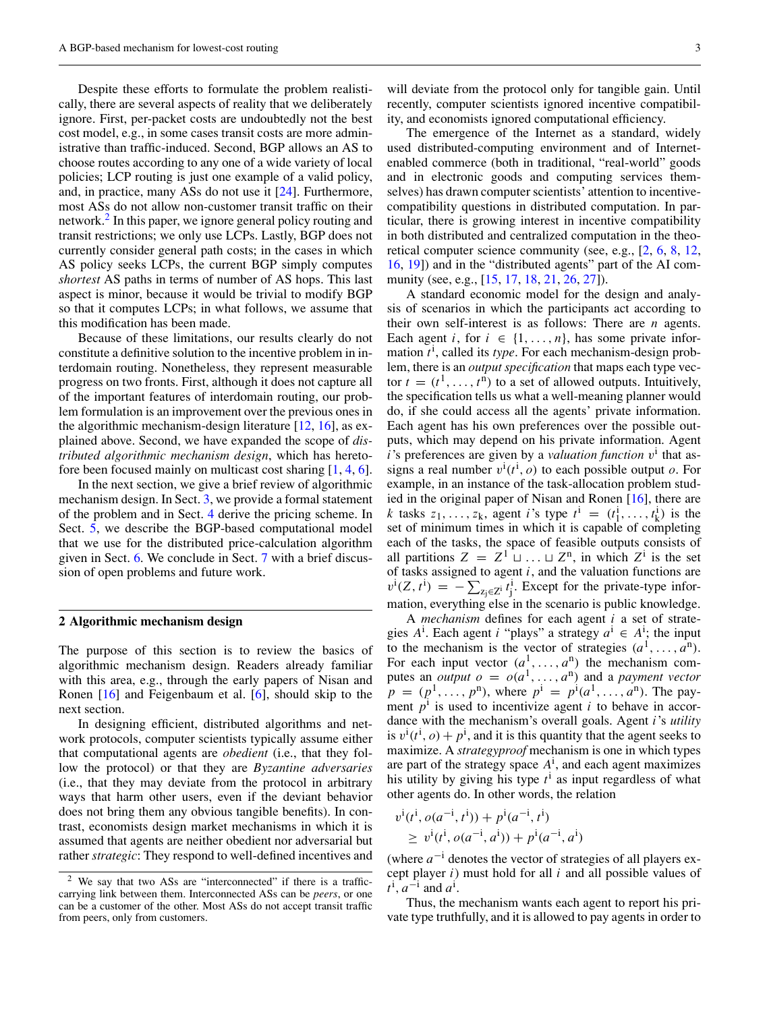Despite these efforts to formulate the problem realistically, there are several aspects of reality that we deliberately ignore. First, per-packet costs are undoubtedly not the best cost model, e.g., in some cases transit costs are more administrative than traffic-induced. Second, BGP allows an AS to choose routes according to any one of a wide variety of local policies; LCP routing is just one example of a valid policy, and, in practice, many ASs do not use it [\[24\]](#page-11-1). Furthermore, most ASs do not allow non-customer transit traffic on their network.<sup>2</sup> In this paper, we ignore general policy routing and transit restrictions; we only use LCPs. Lastly, BGP does not currently consider general path costs; in the cases in which AS policy seeks LCPs, the current BGP simply computes *shortest* AS paths in terms of number of AS hops. This last aspect is minor, because it would be trivial to modify BGP so that it computes LCPs; in what follows, we assume that this modification has been made.

Because of these limitations, our results clearly do not constitute a definitive solution to the incentive problem in interdomain routing. Nonetheless, they represent measurable progress on two fronts. First, although it does not capture all of the important features of interdomain routing, our problem formulation is an improvement over the previous ones in the algorithmic mechanism-design literature [\[12](#page-10-1), [16\]](#page-10-0), as explained above. Second, we have expanded the scope of *distributed algorithmic mechanism design*, which has heretofore been focused mainly on multicast cost sharing [\[1,](#page-10-5) [4,](#page-10-6) [6](#page-10-7)].

In the next section, we give a brief review of algorithmic mechanism design. In Sect. [3,](#page-3-0) we provide a formal statement of the problem and in Sect. [4](#page-4-0) derive the pricing scheme. In Sect. [5,](#page-5-0) we describe the BGP-based computational model that we use for the distributed price-calculation algorithm given in Sect. [6.](#page-6-0) We conclude in Sect. [7](#page-9-0) with a brief discussion of open problems and future work.

## <span id="page-2-0"></span>**2 Algorithmic mechanism design**

The purpose of this section is to review the basics of algorithmic mechanism design. Readers already familiar with this area, e.g., through the early papers of Nisan and Ronen [\[16\]](#page-10-0) and Feigenbaum et al. [\[6](#page-10-7)], should skip to the next section.

In designing efficient, distributed algorithms and network protocols, computer scientists typically assume either that computational agents are *obedient* (i.e., that they follow the protocol) or that they are *Byzantine adversaries* (i.e., that they may deviate from the protocol in arbitrary ways that harm other users, even if the deviant behavior does not bring them any obvious tangible benefits). In contrast, economists design market mechanisms in which it is assumed that agents are neither obedient nor adversarial but rather *strategic*: They respond to well-defined incentives and will deviate from the protocol only for tangible gain. Until recently, computer scientists ignored incentive compatibility, and economists ignored computational efficiency.

The emergence of the Internet as a standard, widely used distributed-computing environment and of Internetenabled commerce (both in traditional, "real-world" goods and in electronic goods and computing services themselves) has drawn computer scientists' attention to incentivecompatibility questions in distributed computation. In particular, there is growing interest in incentive compatibility in both distributed and centralized computation in the theoretical computer science community (see, e.g., [\[2,](#page-10-8) [6,](#page-10-7) [8](#page-10-9), [12](#page-10-1), [16,](#page-10-0) [19](#page-10-10)]) and in the "distributed agents" part of the AI com-munity (see, e.g., [\[15](#page-10-11), [17,](#page-10-12) [18,](#page-10-13) [21](#page-11-2), [26](#page-11-3), [27\]](#page-11-4)).

A standard economic model for the design and analysis of scenarios in which the participants act according to their own self-interest is as follows: There are *n* agents. Each agent *i*, for  $i \in \{1, ..., n\}$ , has some private information *t*<sup>i</sup> , called its *type*. For each mechanism-design problem, there is an *output specification* that maps each type vector  $t = (t^1, \ldots, t^n)$  to a set of allowed outputs. Intuitively, the specification tells us what a well-meaning planner would do, if she could access all the agents' private information. Each agent has his own preferences over the possible outputs, which may depend on his private information. Agent  $i$ 's preferences are given by a *valuation function*  $v<sup>1</sup>$  that assigns a real number  $v^i(t^i, o)$  to each possible output *o*. For example, in an instance of the task-allocation problem studied in the original paper of Nisan and Ronen [\[16](#page-10-0)], there are *k* tasks  $z_1, \ldots, z_k$ , agent *i*'s type  $t^i = (t_1^i, \ldots, t_k^i)$  is the set of minimum times in which it is capable of completing each of the tasks, the space of feasible outputs consists of all partitions  $Z = Z^1 \sqcup \ldots \sqcup Z^n$ , in which  $Z^i$  is the set of tasks assigned to agent *i*, and the valuation functions are  $v^{i}(Z, t^{i}) = -\sum_{z_{j} \in Z^{i}} t_{j}^{i}$ . Except for the private-type information, everything else in the scenario is public knowledge.

A *mechanism* defines for each agent *i* a set of strategies  $A^i$ . Each agent *i* "plays" a strategy  $a^i \in A^i$ ; the input to the mechanism is the vector of strategies  $(a^1, \ldots, a^n)$ . For each input vector  $(a^1, \ldots, a^n)$  the mechanism computes an *output*  $o = o(a^1, \ldots, a^n)$  and a *payment vector*  $p = (p^1, \ldots, p^n)$ , where  $p^i = p^i(a^1, \ldots, a^n)$ . The payment  $p<sup>i</sup>$  is used to incentivize agent *i* to behave in accordance with the mechanism's overall goals. Agent *i*'s *utility* is  $v^i(t^i, o) + p^i$ , and it is this quantity that the agent seeks to maximize. A *strategyproof* mechanism is one in which types are part of the strategy space  $A^i$ , and each agent maximizes his utility by giving his type  $t^i$  as input regardless of what other agents do. In other words, the relation

$$
v^{i}(t^{i}, o(a^{-i}, t^{i})) + p^{i}(a^{-i}, t^{i})
$$
  
\n
$$
\geq v^{i}(t^{i}, o(a^{-i}, a^{i})) + p^{i}(a^{-i}, a^{i})
$$

(where *a*−<sup>i</sup> denotes the vector of strategies of all players except player *i*) must hold for all *i* and all possible values of  $t^1$ ,  $a^{-1}$  and  $a^1$ .

Thus, the mechanism wants each agent to report his private type truthfully, and it is allowed to pay agents in order to

<span id="page-2-1"></span><sup>2</sup> We say that two ASs are "interconnected" if there is a trafficcarrying link between them. Interconnected ASs can be *peers*, or one can be a customer of the other. Most ASs do not accept transit traffic from peers, only from customers.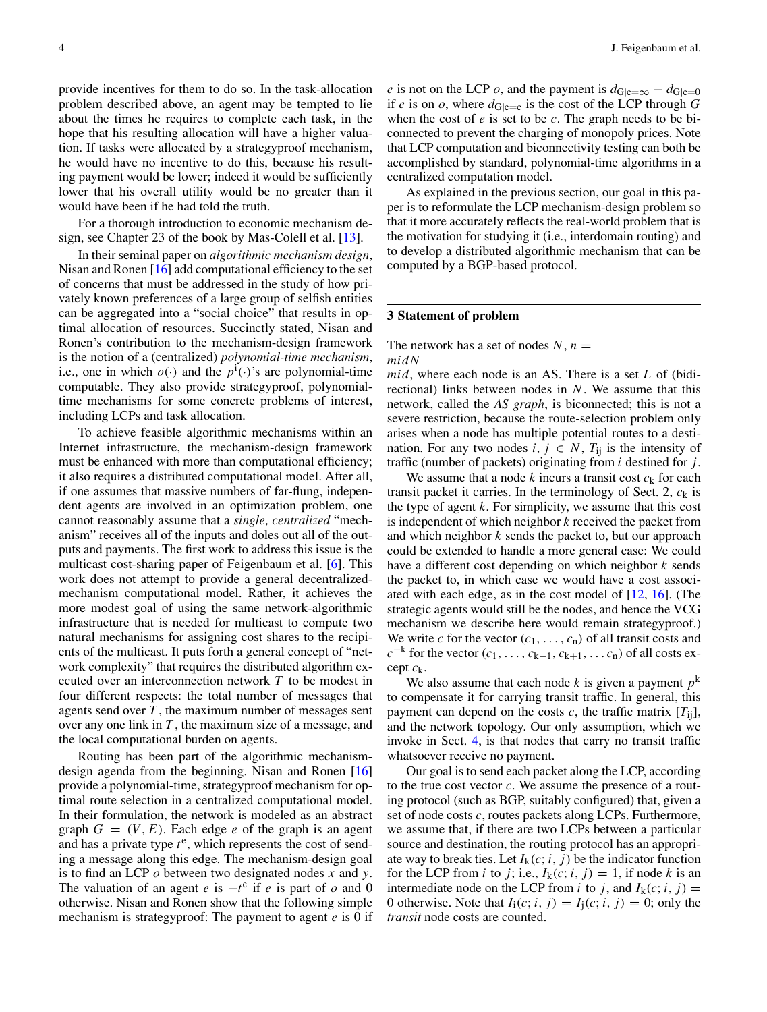provide incentives for them to do so. In the task-allocation problem described above, an agent may be tempted to lie about the times he requires to complete each task, in the hope that his resulting allocation will have a higher valuation. If tasks were allocated by a strategyproof mechanism, he would have no incentive to do this, because his resulting payment would be lower; indeed it would be sufficiently lower that his overall utility would be no greater than it would have been if he had told the truth.

For a thorough introduction to economic mechanism design, see Chapter 23 of the book by Mas-Colell et al. [\[13](#page-10-14)].

In their seminal paper on *algorithmic mechanism design*, Nisan and Ronen [\[16\]](#page-10-0) add computational efficiency to the set of concerns that must be addressed in the study of how privately known preferences of a large group of selfish entities can be aggregated into a "social choice" that results in optimal allocation of resources. Succinctly stated, Nisan and Ronen's contribution to the mechanism-design framework is the notion of a (centralized) *polynomial-time mechanism*, i.e., one in which  $o(\cdot)$  and the  $p^i(\cdot)$ 's are polynomial-time computable. They also provide strategyproof, polynomialtime mechanisms for some concrete problems of interest, including LCPs and task allocation.

To achieve feasible algorithmic mechanisms within an Internet infrastructure, the mechanism-design framework must be enhanced with more than computational efficiency; it also requires a distributed computational model. After all, if one assumes that massive numbers of far-flung, independent agents are involved in an optimization problem, one cannot reasonably assume that a *single, centralized* "mechanism" receives all of the inputs and doles out all of the outputs and payments. The first work to address this issue is the multicast cost-sharing paper of Feigenbaum et al. [\[6\]](#page-10-7). This work does not attempt to provide a general decentralizedmechanism computational model. Rather, it achieves the more modest goal of using the same network-algorithmic infrastructure that is needed for multicast to compute two natural mechanisms for assigning cost shares to the recipients of the multicast. It puts forth a general concept of "network complexity" that requires the distributed algorithm executed over an interconnection network *T* to be modest in four different respects: the total number of messages that agents send over *T* , the maximum number of messages sent over any one link in *T* , the maximum size of a message, and the local computational burden on agents.

Routing has been part of the algorithmic mechanismdesign agenda from the beginning. Nisan and Ronen [\[16\]](#page-10-0) provide a polynomial-time, strategyproof mechanism for optimal route selection in a centralized computational model. In their formulation, the network is modeled as an abstract graph  $G = (V, E)$ . Each edge *e* of the graph is an agent and has a private type  $t^e$ , which represents the cost of sending a message along this edge. The mechanism-design goal is to find an LCP *o* between two designated nodes *x* and *y*. The valuation of an agent *e* is  $-t^e$  if *e* is part of *o* and 0 otherwise. Nisan and Ronen show that the following simple mechanism is strategyproof: The payment to agent *e* is 0 if *e* is not on the LCP *o*, and the payment is  $d_{\text{G}}|_{e=\infty} - d_{\text{G}}|_{e=0}$ if *e* is on *o*, where  $d_{\text{G}}|_{\text{e}=c}$  is the cost of the LCP through *G* when the cost of *e* is set to be *c*. The graph needs to be biconnected to prevent the charging of monopoly prices. Note that LCP computation and biconnectivity testing can both be accomplished by standard, polynomial-time algorithms in a centralized computation model.

As explained in the previous section, our goal in this paper is to reformulate the LCP mechanism-design problem so that it more accurately reflects the real-world problem that is the motivation for studying it (i.e., interdomain routing) and to develop a distributed algorithmic mechanism that can be computed by a BGP-based protocol.

# <span id="page-3-0"></span>**3 Statement of problem**

The network has a set of nodes  $N, n =$ *midN*

*mid*, where each node is an AS. There is a set *L* of (bidirectional) links between nodes in *N*. We assume that this network, called the *AS graph*, is biconnected; this is not a severe restriction, because the route-selection problem only arises when a node has multiple potential routes to a destination. For any two nodes  $i, j \in N$ ,  $T_{ij}$  is the intensity of traffic (number of packets) originating from *i* destined for *j*.

We assume that a node  $k$  incurs a transit cost  $c_k$  for each transit packet it carries. In the terminology of Sect. 2, *c*<sup>k</sup> is the type of agent *k*. For simplicity, we assume that this cost is independent of which neighbor *k* received the packet from and which neighbor *k* sends the packet to, but our approach could be extended to handle a more general case: We could have a different cost depending on which neighbor *k* sends the packet to, in which case we would have a cost associated with each edge, as in the cost model of [\[12,](#page-10-1) [16\]](#page-10-0). (The strategic agents would still be the nodes, and hence the VCG mechanism we describe here would remain strategyproof.) We write *c* for the vector  $(c_1, \ldots, c_n)$  of all transit costs and  $c^{-k}$  for the vector  $(c_1, \ldots, c_{k-1}, c_{k+1}, \ldots, c_n)$  of all costs except *c*k.

We also assume that each node  $k$  is given a payment  $p^k$ to compensate it for carrying transit traffic. In general, this payment can depend on the costs  $c$ , the traffic matrix  $[T_{ii}]$ , and the network topology. Our only assumption, which we invoke in Sect. [4,](#page-4-0) is that nodes that carry no transit traffic whatsoever receive no payment.

Our goal is to send each packet along the LCP, according to the true cost vector *c*. We assume the presence of a routing protocol (such as BGP, suitably configured) that, given a set of node costs *c*, routes packets along LCPs. Furthermore, we assume that, if there are two LCPs between a particular source and destination, the routing protocol has an appropriate way to break ties. Let  $I_k(c; i, j)$  be the indicator function for the LCP from *i* to *j*; i.e.,  $I_k(c; i, j) = 1$ , if node *k* is an intermediate node on the LCP from *i* to *j*, and  $I_k(c; i, j)$  = 0 otherwise. Note that  $I_i(c; i, j) = I_i(c; i, j) = 0$ ; only the *transit* node costs are counted.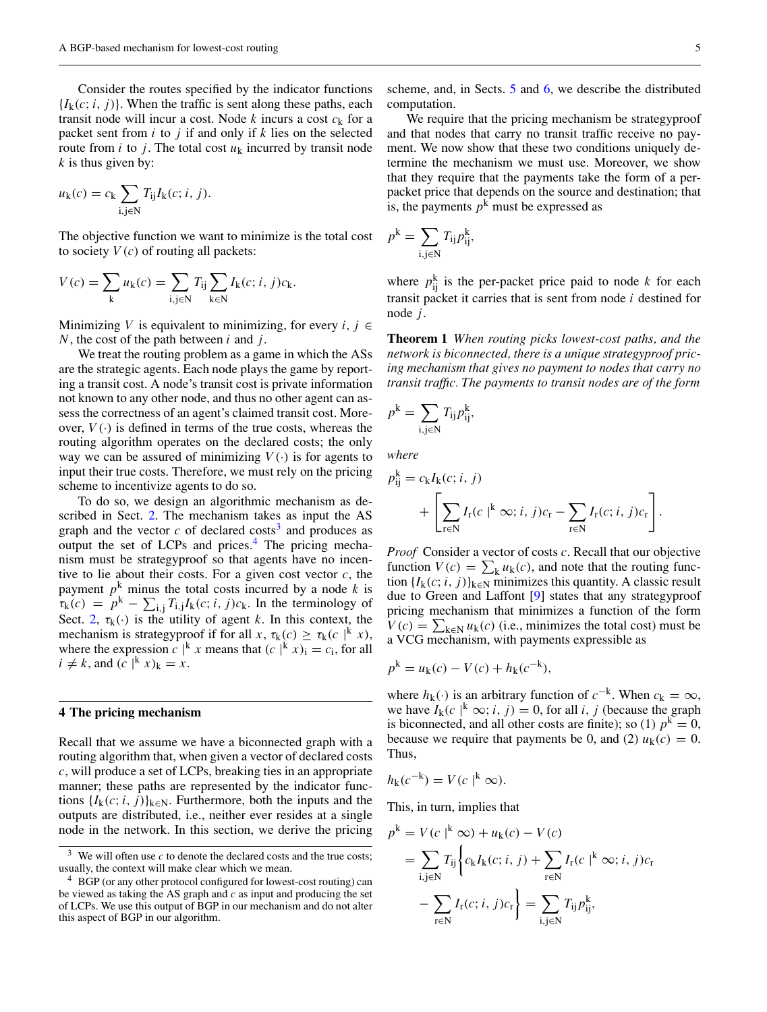Consider the routes specified by the indicator functions  ${I_k(c; i, j)}$ . When the traffic is sent along these paths, each transit node will incur a cost. Node  $k$  incurs a cost  $c_k$  for a packet sent from *i* to *j* if and only if *k* lies on the selected route from *i* to *j*. The total cost  $u_k$  incurred by transit node *k* is thus given by:

$$
u_{k}(c) = c_{k} \sum_{i,j \in N} T_{ij} I_{k}(c; i, j).
$$

The objective function we want to minimize is the total cost to society  $V(c)$  of routing all packets:

$$
V(c) = \sum_{k} u_{k}(c) = \sum_{i,j \in N} T_{ij} \sum_{k \in N} I_{k}(c; i, j) c_{k}.
$$

Minimizing *V* is equivalent to minimizing, for every  $i, j \in$ *N*, the cost of the path between *i* and *j*.

We treat the routing problem as a game in which the ASs are the strategic agents. Each node plays the game by reporting a transit cost. A node's transit cost is private information not known to any other node, and thus no other agent can assess the correctness of an agent's claimed transit cost. Moreover,  $V(\cdot)$  is defined in terms of the true costs, whereas the routing algorithm operates on the declared costs; the only way we can be assured of minimizing  $V(\cdot)$  is for agents to input their true costs. Therefore, we must rely on the pricing scheme to incentivize agents to do so.

To do so, we design an algorithmic mechanism as described in Sect. [2.](#page-2-0) The mechanism takes as input the AS graph and the vector  $c$  of declared costs<sup>3</sup> and produces as output the set of LCPs and prices. $4$  The pricing mechanism must be strategyproof so that agents have no incentive to lie about their costs. For a given cost vector  $c$ , the payment  $p^k$  minus the total costs incurred by a node  $k$  is  $\tau_k(c) = p^k - \sum_{i,j} T_{i,j} I_k(c; i, j) c_k$ . In the terminology of Sect. [2,](#page-2-0)  $\tau_k(\cdot)$  is the utility of agent *k*. In this context, the mechanism is strategyproof if for all  $x$ ,  $\tau_k(c) \geq \tau_k(c \mid^k x)$ , where the expression  $c \mid^k x$  means that  $(c \mid^k x)_i = c_i$ , for all  $i \neq k$ , and  $(c \mid^k x)_k = x$ .

## <span id="page-4-0"></span>**4 The pricing mechanism**

Recall that we assume we have a biconnected graph with a routing algorithm that, when given a vector of declared costs *c*, will produce a set of LCPs, breaking ties in an appropriate manner; these paths are represented by the indicator functions  $\{I_k(c; i, j)\}_{k \in \mathbb{N}}$ . Furthermore, both the inputs and the outputs are distributed, i.e., neither ever resides at a single node in the network. In this section, we derive the pricing

scheme, and, in Sects. [5](#page-5-0) and [6,](#page-6-0) we describe the distributed computation.

We require that the pricing mechanism be strategyproof and that nodes that carry no transit traffic receive no payment. We now show that these two conditions uniquely determine the mechanism we must use. Moreover, we show that they require that the payments take the form of a perpacket price that depends on the source and destination; that is, the payments  $p^k$  must be expressed as

$$
p^k = \sum_{i,j \in N} T_{ij} p_{ij}^k,
$$

where  $p_{ij}^k$  is the per-packet price paid to node  $k$  for each transit packet it carries that is sent from node *i* destined for node *j*.

<span id="page-4-3"></span>**Theorem 1** *When routing picks lowest-cost paths, and the network is biconnected, there is a unique strategyproof pricing mechanism that gives no payment to nodes that carry no transit traffic. The payments to transit nodes are of the form*

$$
p^k = \sum_{i,j \in N} T_{ij} p_{ij}^k,
$$

*where*

$$
p_{ij}^{k} = c_k I_k(c; i, j)
$$
  
+ 
$$
\left[ \sum_{r \in N} I_r(c \mid^{k} \infty; i, j) c_r - \sum_{r \in N} I_r(c; i, j) c_r \right].
$$

*Proof* Consider a vector of costs *c*. Recall that our objective function  $V(c) = \sum_{k} u_k(c)$ , and note that the routing function  $\{I_k(c; i, j)\}_{k \in \mathbb{N}}$  minimizes this quantity. A classic result due to Green and Laffont [\[9](#page-10-15)] states that any strategyproof pricing mechanism that minimizes a function of the form  $V(c) = \sum_{k \in N} u_k(c)$  (i.e., minimizes the total cost) must be a VCG mechanism, with payments expressible as

$$
p^{k} = u_{k}(c) - V(c) + h_{k}(c^{-k}),
$$

where  $h_k(\cdot)$  is an arbitrary function of  $c^{-k}$ . When  $c_k = \infty$ , we have  $I_k(c \mid^k \infty; i, j) = 0$ , for all *i*, *j* (because the graph is biconnected, and all other costs are finite); so (1)  $p^k = 0$ , because we require that payments be 0, and (2)  $u_k(c) = 0$ . Thus,

$$
h_{k}(c^{-k}) = V(c \mid^{k} \infty).
$$

This, in turn, implies that

$$
p^{k} = V(c \mid^{k} \infty) + u_{k}(c) - V(c)
$$
  
= 
$$
\sum_{i,j \in N} T_{ij} \Biggl\{ c_{k} I_{k}(c; i, j) + \sum_{r \in N} I_{r}(c \mid^{k} \infty; i, j) c_{r}
$$
  

$$
- \sum_{r \in N} I_{r}(c; i, j) c_{r} \Biggr\} = \sum_{i,j \in N} T_{ij} p_{ij}^{k},
$$

<span id="page-4-1"></span><sup>&</sup>lt;sup>3</sup> We will often use *c* to denote the declared costs and the true costs; usually, the context will make clear which we mean.

<span id="page-4-2"></span><sup>4</sup> BGP (or any other protocol configured for lowest-cost routing) can be viewed as taking the AS graph and *c* as input and producing the set of LCPs. We use this output of BGP in our mechanism and do not alter this aspect of BGP in our algorithm.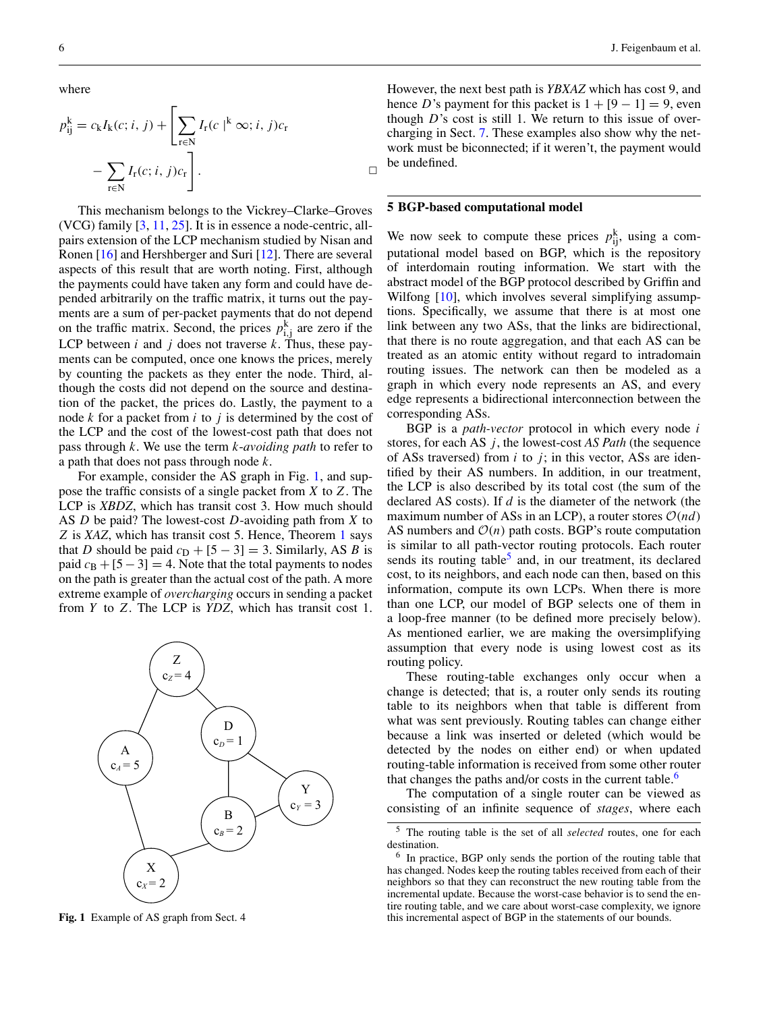where

$$
p_{ij}^{k} = c_{k} I_{k}(c; i, j) + \left[\sum_{r \in N} I_{r}(c \mid^{k} \infty; i, j)c_{r}\right] - \sum_{r \in N} I_{r}(c; i, j)c_{r}\right].
$$

This mechanism belongs to the Vickrey–Clarke–Groves (VCG) family  $[3, 11, 25]$  $[3, 11, 25]$  $[3, 11, 25]$  $[3, 11, 25]$  $[3, 11, 25]$  $[3, 11, 25]$ . It is in essence a node-centric, allpairs extension of the LCP mechanism studied by Nisan and Ronen [\[16\]](#page-10-0) and Hershberger and Suri [\[12](#page-10-1)]. There are several aspects of this result that are worth noting. First, although the payments could have taken any form and could have depended arbitrarily on the traffic matrix, it turns out the payments are a sum of per-packet payments that do not depend on the traffic matrix. Second, the prices  $p_{i,j}^k$  are zero if the LCP between  $i$  and  $j$  does not traverse  $k$ . Thus, these payments can be computed, once one knows the prices, merely by counting the packets as they enter the node. Third, although the costs did not depend on the source and destination of the packet, the prices do. Lastly, the payment to a node *k* for a packet from *i* to *j* is determined by the cost of the LCP and the cost of the lowest-cost path that does not pass through *k*. We use the term *k*-*avoiding path* to refer to a path that does not pass through node *k*.

For example, consider the AS graph in Fig. [1,](#page-5-1) and suppose the traffic consists of a single packet from *X* to *Z*. The LCP is *XBDZ*, which has transit cost 3. How much should AS *D* be paid? The lowest-cost *D*-avoiding path from *X* to *Z* is *XAZ*, which has transit cost 5. Hence, Theorem [1](#page-4-3) says that *D* should be paid  $c_D + [5 - 3] = 3$ . Similarly, AS *B* is paid  $c_B + [5 - 3] = 4$ . Note that the total payments to nodes on the path is greater than the actual cost of the path. A more extreme example of *overcharging* occurs in sending a packet from *Y* to *Z*. The LCP is *YDZ*, which has transit cost 1.



<span id="page-5-1"></span>**Fig. 1** Example of AS graph from Sect. 4

However, the next best path is *YBXAZ* which has cost 9, and hence *D*'s payment for this packet is  $1 + [9 - 1] = 9$ , even though *D*'s cost is still 1. We return to this issue of overcharging in Sect. [7.](#page-9-0) These examples also show why the network must be biconnected; if it weren't, the payment would be undefined.

#### <span id="page-5-0"></span>**5 BGP-based computational model**

We now seek to compute these prices  $p_{ij}^k$ , using a computational model based on BGP, which is the repository of interdomain routing information. We start with the abstract model of the BGP protocol described by Griffin and Wilfong [\[10](#page-10-16)], which involves several simplifying assumptions. Specifically, we assume that there is at most one link between any two ASs, that the links are bidirectional, that there is no route aggregation, and that each AS can be treated as an atomic entity without regard to intradomain routing issues. The network can then be modeled as a graph in which every node represents an AS, and every edge represents a bidirectional interconnection between the corresponding ASs.

BGP is a *path-vector* protocol in which every node *i* stores, for each AS *j*, the lowest-cost *AS Path* (the sequence of ASs traversed) from *i* to *j*; in this vector, ASs are identified by their AS numbers. In addition, in our treatment, the LCP is also described by its total cost (the sum of the declared AS costs). If *d* is the diameter of the network (the maximum number of ASs in an LCP), a router stores  $O(nd)$ AS numbers and  $\mathcal{O}(n)$  path costs. BGP's route computation is similar to all path-vector routing protocols. Each router sends its routing table $\delta$  and, in our treatment, its declared cost, to its neighbors, and each node can then, based on this information, compute its own LCPs. When there is more than one LCP, our model of BGP selects one of them in a loop-free manner (to be defined more precisely below). As mentioned earlier, we are making the oversimplifying assumption that every node is using lowest cost as its routing policy.

These routing-table exchanges only occur when a change is detected; that is, a router only sends its routing table to its neighbors when that table is different from what was sent previously. Routing tables can change either because a link was inserted or deleted (which would be detected by the nodes on either end) or when updated routing-table information is received from some other router that changes the paths and/or costs in the current table.<sup>6</sup>

The computation of a single router can be viewed as consisting of an infinite sequence of *stages*, where each

<span id="page-5-2"></span><sup>5</sup> The routing table is the set of all *selected* routes, one for each destination.

<span id="page-5-3"></span><sup>6</sup> In practice, BGP only sends the portion of the routing table that has changed. Nodes keep the routing tables received from each of their neighbors so that they can reconstruct the new routing table from the incremental update. Because the worst-case behavior is to send the entire routing table, and we care about worst-case complexity, we ignore this incremental aspect of BGP in the statements of our bounds.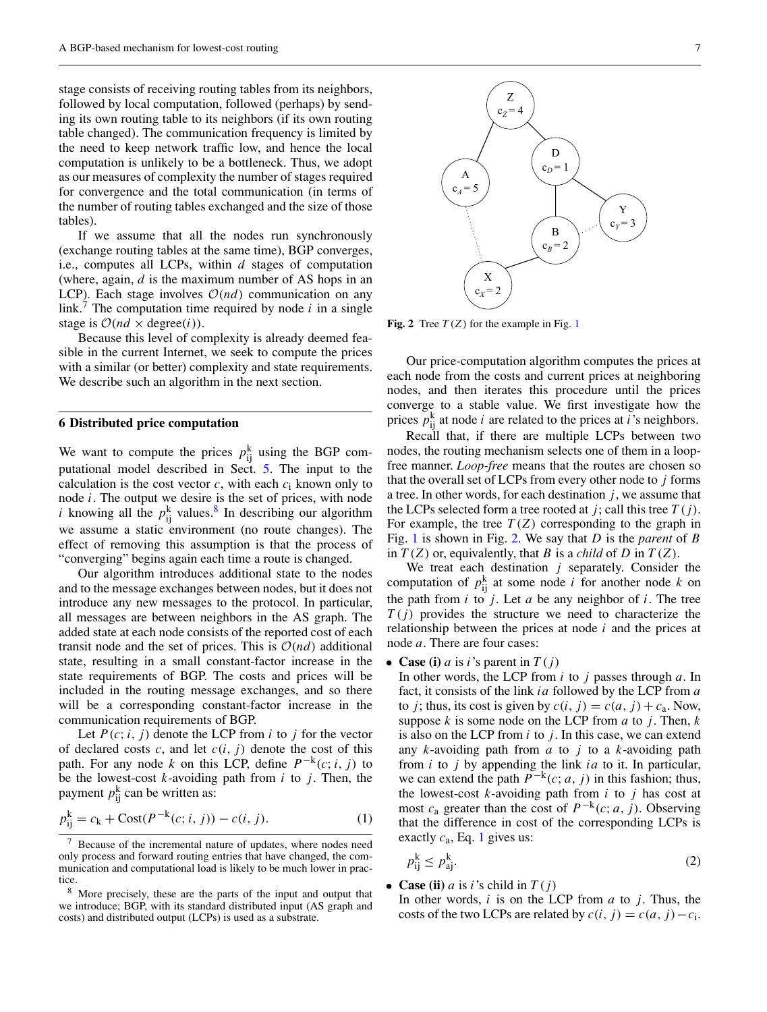stage consists of receiving routing tables from its neighbors, followed by local computation, followed (perhaps) by sending its own routing table to its neighbors (if its own routing table changed). The communication frequency is limited by the need to keep network traffic low, and hence the local computation is unlikely to be a bottleneck. Thus, we adopt as our measures of complexity the number of stages required for convergence and the total communication (in terms of the number of routing tables exchanged and the size of those tables).

If we assume that all the nodes run synchronously (exchange routing tables at the same time), BGP converges, i.e., computes all LCPs, within *d* stages of computation (where, again, *d* is the maximum number of AS hops in an LCP). Each stage involves  $O(nd)$  communication on any link.<sup>7</sup> The computation time required by node  $i$  in a single stage is  $\mathcal{O}(nd \times \text{degree}(i)).$ 

Because this level of complexity is already deemed feasible in the current Internet, we seek to compute the prices with a similar (or better) complexity and state requirements. We describe such an algorithm in the next section.

## <span id="page-6-0"></span>**6 Distributed price computation**

We want to compute the prices  $p_{ij}^k$  using the BGP computational model described in Sect. [5.](#page-5-0) The input to the calculation is the cost vector  $c$ , with each  $c_i$  known only to node *i*. The output we desire is the set of prices, with node *i* knowing all the  $p_{ij}^k$  values.<sup>8</sup> In describing our algorithm we assume a static environment (no route changes). The effect of removing this assumption is that the process of "converging" begins again each time a route is changed.

Our algorithm introduces additional state to the nodes and to the message exchanges between nodes, but it does not introduce any new messages to the protocol. In particular, all messages are between neighbors in the AS graph. The added state at each node consists of the reported cost of each transit node and the set of prices. This is  $O(nd)$  additional state, resulting in a small constant-factor increase in the state requirements of BGP. The costs and prices will be included in the routing message exchanges, and so there will be a corresponding constant-factor increase in the communication requirements of BGP.

Let  $P(c; i, j)$  denote the LCP from *i* to *j* for the vector of declared costs  $c$ , and let  $c(i, j)$  denote the cost of this path. For any node *k* on this LCP, define  $P^{-k}(c; i, j)$  to be the lowest-cost *k*-avoiding path from *i* to *j*. Then, the payment  $p_{ij}^k$  can be written as:

<span id="page-6-4"></span>
$$
p_{ij}^{k} = c_{k} + \text{Cost}(P^{-k}(c; i, j)) - c(i, j).
$$
 (1)



<span id="page-6-3"></span>**Fig. 2** Tree  $T(Z)$  for the example in Fig. [1](#page-5-1)

Our price-computation algorithm computes the prices at each node from the costs and current prices at neighboring nodes, and then iterates this procedure until the prices converge to a stable value. We first investigate how the prices  $p_{ij}^k$  at node *i* are related to the prices at *i*'s neighbors.

Recall that, if there are multiple LCPs between two nodes, the routing mechanism selects one of them in a loopfree manner. *Loop-free* means that the routes are chosen so that the overall set of LCPs from every other node to *j* forms a tree. In other words, for each destination *j*, we assume that the LCPs selected form a tree rooted at  $j$ ; call this tree  $T(j)$ . For example, the tree  $T(Z)$  corresponding to the graph in Fig. [1](#page-5-1) is shown in Fig. [2.](#page-6-3) We say that *D* is the *parent* of *B* in  $T(Z)$  or, equivalently, that *B* is a *child* of *D* in  $T(Z)$ .

We treat each destination *j* separately. Consider the computation of  $p_{ij}^k$  at some node *i* for another node *k* on the path from  $i$  to  $j$ . Let  $a$  be any neighbor of  $i$ . The tree  $T(i)$  provides the structure we need to characterize the relationship between the prices at node *i* and the prices at node *a*. There are four cases:

• **Case (i)**  $a$  is  $i$ 's parent in  $T(j)$ 

In other words, the LCP from *i* to *j* passes through *a*. In fact, it consists of the link *ia* followed by the LCP from *a* to *j*; thus, its cost is given by  $c(i, j) = c(a, j) + c_a$ . Now, suppose *k* is some node on the LCP from *a* to *j*. Then, *k* is also on the LCP from *i* to *j*. In this case, we can extend any *k*-avoiding path from *a* to *j* to a *k*-avoiding path from *i* to *j* by appending the link *ia* to it. In particular, we can extend the path  $P^{-k}(c; a, j)$  in this fashion; thus, the lowest-cost *k*-avoiding path from *i* to *j* has cost at most  $c_a$  greater than the cost of  $P^{-k}(c; a, j)$ . Observing that the difference in cost of the corresponding LCPs is exactly *c*a, Eq. [1](#page-6-4) gives us:

<span id="page-6-5"></span>
$$
p_{ij}^k \le p_{aj}^k. \tag{2}
$$

• **Case (ii)**  $a$  is  $i$ 's child in  $T(j)$ 

In other words, *i* is on the LCP from *a* to *j*. Thus, the costs of the two LCPs are related by  $c(i, j) = c(a, j) - c_i$ .

<span id="page-6-1"></span>Because of the incremental nature of updates, where nodes need only process and forward routing entries that have changed, the communication and computational load is likely to be much lower in practice.

<span id="page-6-2"></span><sup>8</sup> More precisely, these are the parts of the input and output that we introduce; BGP, with its standard distributed input (AS graph and costs) and distributed output (LCPs) is used as a substrate.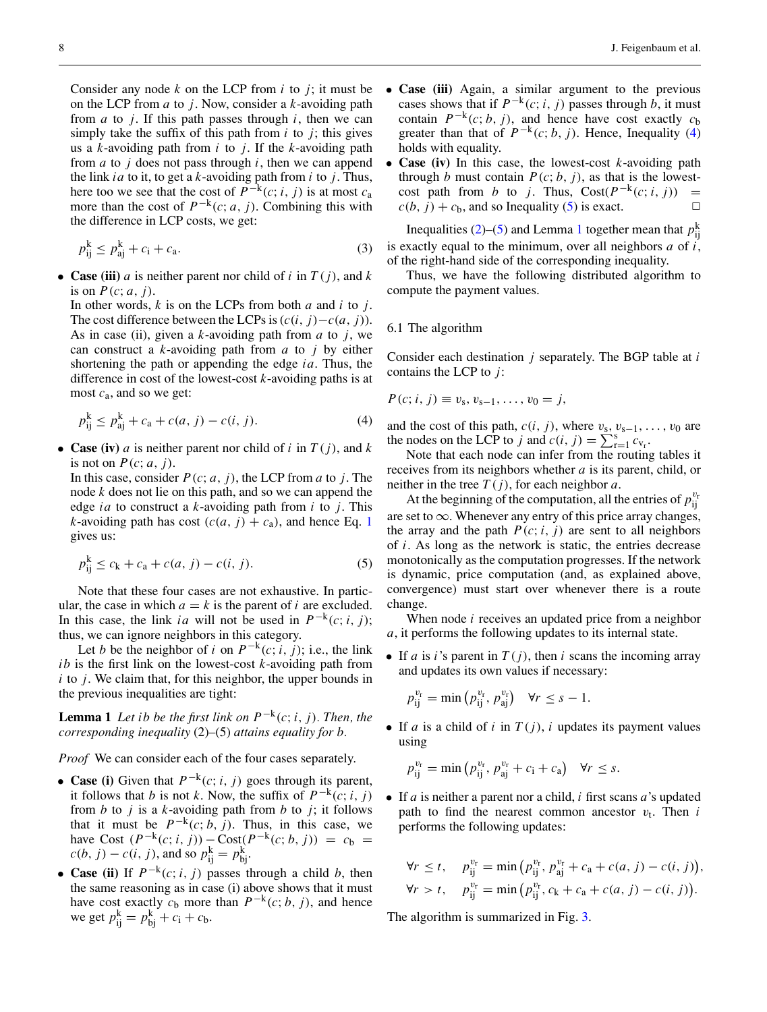Consider any node *k* on the LCP from *i* to *j*; it must be on the LCP from *a* to *j*. Now, consider a *k*-avoiding path from *a* to *j*. If this path passes through *i*, then we can simply take the suffix of this path from *i* to *j*; this gives us a *k*-avoiding path from *i* to *j*. If the *k*-avoiding path from *a* to *j* does not pass through *i*, then we can append the link *ia* to it, to get a *k*-avoiding path from *i* to *j*. Thus, here too we see that the cost of  $P^{-k}(c; i, j)$  is at most  $c_a$ more than the cost of  $P^{-k}(c; a, j)$ . Combining this with the difference in LCP costs, we get:

$$
p_{ij}^k \le p_{aj}^k + c_i + c_a.
$$
 (3)

• **Case (iii)** *a* is neither parent nor child of *i* in  $T(j)$ , and *k* is on  $P(c; a, j)$ .

In other words, *k* is on the LCPs from both *a* and *i* to *j*. The cost difference between the LCPs is  $(c(i, j) - c(a, j))$ . As in case (ii), given a *k*-avoiding path from *a* to *j*, we can construct a *k*-avoiding path from *a* to *j* by either shortening the path or appending the edge *ia*. Thus, the difference in cost of the lowest-cost *k*-avoiding paths is at most *c*a, and so we get:

<span id="page-7-0"></span>
$$
p_{ij}^k \le p_{aj}^k + c_a + c(a, j) - c(i, j). \tag{4}
$$

• **Case (iv)** *a* is neither parent nor child of *i* in  $T(j)$ , and *k* is not on  $P(c; a, j)$ .

In this case, consider  $P(c; a, j)$ , the LCP from *a* to *j*. The node *k* does not lie on this path, and so we can append the edge *ia* to construct a *k*-avoiding path from *i* to *j*. This *k*-avoiding path has cost  $(c(a, j) + c_a)$ , and hence Eq. [1](#page-6-4) gives us:

<span id="page-7-1"></span>
$$
p_{ij}^k \le c_k + c_a + c(a, j) - c(i, j). \tag{5}
$$

Note that these four cases are not exhaustive. In particular, the case in which  $a = k$  is the parent of *i* are excluded. In this case, the link *ia* will not be used in  $P^{-k}(c; i, j)$ ; thus, we can ignore neighbors in this category.

Let *b* be the neighbor of *i* on  $P^{-k}(c; i, j)$ ; i.e., the link *ib* is the first link on the lowest-cost *k*-avoiding path from *i* to *j*. We claim that, for this neighbor, the upper bounds in the previous inequalities are tight:

<span id="page-7-2"></span>**Lemma 1** *Let ib be the first link on*  $P^{-k}(c; i, j)$ *. Then, the corresponding inequality* (2)–(5) *attains equality for b.*

*Proof* We can consider each of the four cases separately.

- **Case (i)** Given that  $P^{-k}(c; i, j)$  goes through its parent, it follows that *b* is not *k*. Now, the suffix of  $P^{-k}(c; i, j)$ from *b* to *j* is a *k*-avoiding path from *b* to *j*; it follows that it must be  $P^{-k}(c; b, \bar{j})$ . Thus, in this case, we have Cost  $(P^{-k}(c; i, j)) - \text{Cost}(P^{-k}(c; b, j)) = c_b$  $c(b, j) - c(i, j)$ , and so  $p_{ij}^k = p_{bj}^k$ .
- **Case (ii)** If  $P^{-k}(c; i, j)$  passes through a child *b*, then the same reasoning as in case (i) above shows that it must have cost exactly  $c_b$  more than  $P^{-k}(c; b, j)$ , and hence we get  $p_{ij}^k = p_{bj}^k + c_i + c_b$ .
- **Case (iii)** Again, a similar argument to the previous cases shows that if  $P^{-k}(c; i, j)$  passes through *b*, it must contain  $P^{-k}(c; b, j)$ , and hence have cost exactly  $c_b$ greater than that of  $P^{-k}(c; b, j)$ . Hence, Inequality [\(4\)](#page-7-0) holds with equality.
- **Case (iv)** In this case, the lowest-cost *k*-avoiding path through *b* must contain  $P(c; b, j)$ , as that is the lowestcost path from *b* to *j*. Thus,  $Cost(P^{-k}(c; i, j))$  =  $c(b, j) + c_b$ , and so Inequality [\(5\)](#page-7-1) is exact.

Inequalities [\(2\)](#page-6-5)–[\(5\)](#page-7-1) and Lemma [1](#page-7-2) together mean that  $p_{ij}^k$ is exactly equal to the minimum, over all neighbors *a* of *i*, of the right-hand side of the corresponding inequality.

Thus, we have the following distributed algorithm to compute the payment values.

#### 6.1 The algorithm

Consider each destination *j* separately. The BGP table at *i* contains the LCP to *j*:

$$
P(c; i, j) \equiv v_{s}, v_{s-1}, \ldots, v_0 = j,
$$

and the cost of this path,  $c(i, j)$ , where  $v_s, v_{s-1}, \ldots, v_0$  are the nodes on the LCP to *j* and  $c(i, j) = \sum_{r=1}^{5} c_{v_r}$ .

Note that each node can infer from the routing tables it receives from its neighbors whether *a* is its parent, child, or neither in the tree  $T(j)$ , for each neighbor *a*.

At the beginning of the computation, all the entries of  $p_{ij}^{v_r}$ are set to  $\infty$ . Whenever any entry of this price array changes, the array and the path  $P(c; i, j)$  are sent to all neighbors of *i*. As long as the network is static, the entries decrease monotonically as the computation progresses. If the network is dynamic, price computation (and, as explained above, convergence) must start over whenever there is a route change.

When node *i* receives an updated price from a neighbor *a*, it performs the following updates to its internal state.

• If *a* is *i*'s parent in  $T(j)$ , then *i* scans the incoming array and updates its own values if necessary:

$$
p_{ij}^{v_r} = \min (p_{ij}^{v_r}, p_{ij}^{v_r}) \quad \forall r \leq s - 1.
$$

• If *a* is a child of *i* in  $T(j)$ , *i* updates its payment values using

$$
p_{ij}^{v_r} = \min (p_{ij}^{v_r}, p_{aj}^{v_r} + c_i + c_a) \quad \forall r \leq s.
$$

• If *a* is neither a parent nor a child, *i* first scans *a*'s updated path to find the nearest common ancestor  $v_t$ . Then *i* performs the following updates:

$$
\forall r \le t, \quad p_{ij}^{v_r} = \min (p_{ij}^{v_r}, p_{aj}^{v_r} + c_a + c(a, j) - c(i, j)),
$$
  

$$
\forall r > t, \quad p_{ij}^{v_r} = \min (p_{ij}^{v_r}, c_k + c_a + c(a, j) - c(i, j)).
$$

The algorithm is summarized in Fig. [3.](#page-8-0)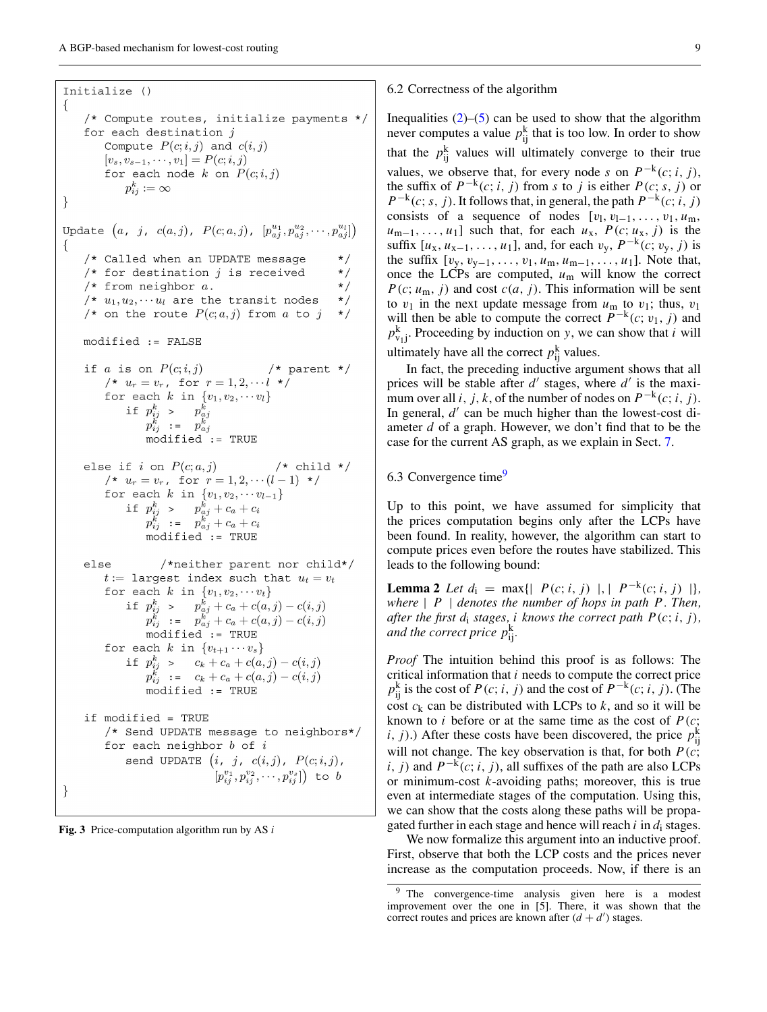```
Initialize ()
\{/* Compute routes, initialize payments */
     for each destination jCompute P(c; i, j) and c(i, j)[v_s, v_{s-1}, \dots, v_1] = P(c; i, j)for each node k on P(c; i, j)p_{ij}^k := \infty\}Update (a, j, c(a, j), P(c, a, j), [p_{a_i}^{u_1}, p_{a_i}^{u_2}, \cdots, p_{a_j}^{u_l}]\star//* Called when an UPDATE message
                                                               \star//* for destination j is received
                                                               \star/
     /* from neighbor a.
     /* u_1, u_2, \cdots u_l are the transit nodes
                                                              \star//* on the route P(c; a, j) from a to j
    modified := FALSE/* parent */if a is on P(c;i,j)\sqrt{\star} u_r = v_r, for r = 1, 2, \cdots l \star/
         for each k in \{v_1, v_2, \cdots v_l\}if p_{ij}^k > p_{aj}^k<br>
p_{ij}^k := p_{aj}^kmodelied:= TRUE
                                                /* child */
     else if i on P(c; a, j)\mathcal{N} \star u_r = v_r, for r = 1, 2, \cdots (l-1) \star \mathcal{N}for each k in \{v_1, v_2, \cdots v_{l-1}\}if p_{ij}^k > p_{aj}^k + c_a + c_i<br>
p_{ij}^k := p_{aj}^k + c_a + c_imodelied := TRUE/*neither parent nor child*/
     else
         t := largest index such that u_t = v_tfor each k in \{v_1, v_2, \cdots v_t\}if p_{ij}^k > p_{aj}^k + c_a + c(a, j) - c(i, j)<br>
p_{ij}^k := p_{aj}^k + c_a + c(a, j) - c(i, j)modified := TRUEfor each k in \{v_{t+1}\cdots v_s\}if p_{ij}^k > c_k + c_a + c(a, j) - c(i, j)<br>
p_{ij}^k := c_k + c_a + c(a, j) - c(i, j)<br>
modified := TRUE
     if modified = TRUE
         /* Send UPDATE message to neighbors*/
         for each neighbor b of isend UPDATE (i, j, c(i, j), P(c, i, j),
                                  [p_{ij}^{v_1}, p_{ij}^{v_2}, \cdots, p_{ij}^{v_s}]) to b
\}
```
<span id="page-8-0"></span>**Fig. 3** Price-computation algorithm run by AS *i*

#### 6.2 Correctness of the algorithm

Inequalities  $(2)$ –[\(5\)](#page-7-1) can be used to show that the algorithm never computes a value  $p_{ij}^k$  that is too low. In order to show that the  $p_{ij}^k$  values will ultimately converge to their true values, we observe that, for every node *s* on  $P^{-k}(c; i, j)$ , the suffix of  $P^{-k}(c; i, j)$  from *s* to *j* is either  $P(c; s, j)$  or  $P^{-k}(c; s, j)$ . It follows that, in general, the path  $P^{-k}(c; i, j)$ consists of a sequence of nodes  $[v_1, v_{1-1}, \ldots, v_1, u_m]$ ,  $u_{m-1}, \ldots, u_1$  such that, for each  $u_x$ ,  $P(c; u_x, j)$  is the suffix  $[u_x, u_{x-1}, \ldots, u_1]$ , and, for each  $v_y$ ,  $P^{-k}(c; v_y, j)$  is the suffix  $[v_y, v_{y-1}, \ldots, v_1, u_m, u_{m-1}, \ldots, u_1]$ . Note that, once the LCPs are computed,  $u_m$  will know the correct  $P(c; u_m, j)$  and cost  $c(a, j)$ . This information will be sent to  $v_1$  in the next update message from  $u_m$  to  $v_1$ ; thus,  $v_1$ will then be able to compute the correct  $P^{-k}(c; v_1, j)$  and  $p_{v_1j}^k$ . Proceeding by induction on *y*, we can show that *i* will ultimately have all the correct  $p_{ij}^k$  values.

In fact, the preceding inductive argument shows that all prices will be stable after  $d'$  stages, where  $d'$  is the maximum over all *i*, *j*, *k*, of the number of nodes on  $P^{-k}(c; i, j)$ . In general, *d'* can be much higher than the lowest-cost diameter *d* of a graph. However, we don't find that to be the case for the current AS graph, as we explain in Sect. [7.](#page-9-0)

# 6.3 Convergence time<sup>[9](#page-8-1)</sup>

Up to this point, we have assumed for simplicity that the prices computation begins only after the LCPs have been found. In reality, however, the algorithm can start to compute prices even before the routes have stabilized. This leads to the following bound:

**Lemma 2** *Let*  $d_i = \max\{|P(c; i, j)|, |P^{-k}(c; i, j)|\}$ *where* | *P* | *denotes the number of hops in path P. Then, after the first d<sub>i</sub> stages, i knows the correct path*  $P(c; i, j)$ *,* and the correct price  $p_{\rm ij}^{\rm k}$ .

*Proof* The intuition behind this proof is as follows: The critical information that *i* needs to compute the correct price  $p_{ij}^k$  is the cost of *P*(*c*; *i*, *j*) and the cost of  $P^{-k}(c; i, j)$ . (The cost  $c_k$  can be distributed with LCPs to  $k$ , and so it will be known to *i* before or at the same time as the cost of  $P(c;$ *i*, *j*).) After these costs have been discovered, the price  $p_{ij}^k$ will not change. The key observation is that, for both  $P(c)$ ; *i*, *j*) and  $P^{-k}(c; i, j)$ , all suffixes of the path are also LCPs or minimum-cost *k*-avoiding paths; moreover, this is true even at intermediate stages of the computation. Using this, we can show that the costs along these paths will be propagated further in each stage and hence will reach *i* in *d*<sup>i</sup> stages.

We now formalize this argument into an inductive proof. First, observe that both the LCP costs and the prices never increase as the computation proceeds. Now, if there is an

<span id="page-8-1"></span><sup>9</sup> The convergence-time analysis given here is a modest improvement over the one in [5]. There, it was shown that the correct routes and prices are known after  $(d + d')$  stages.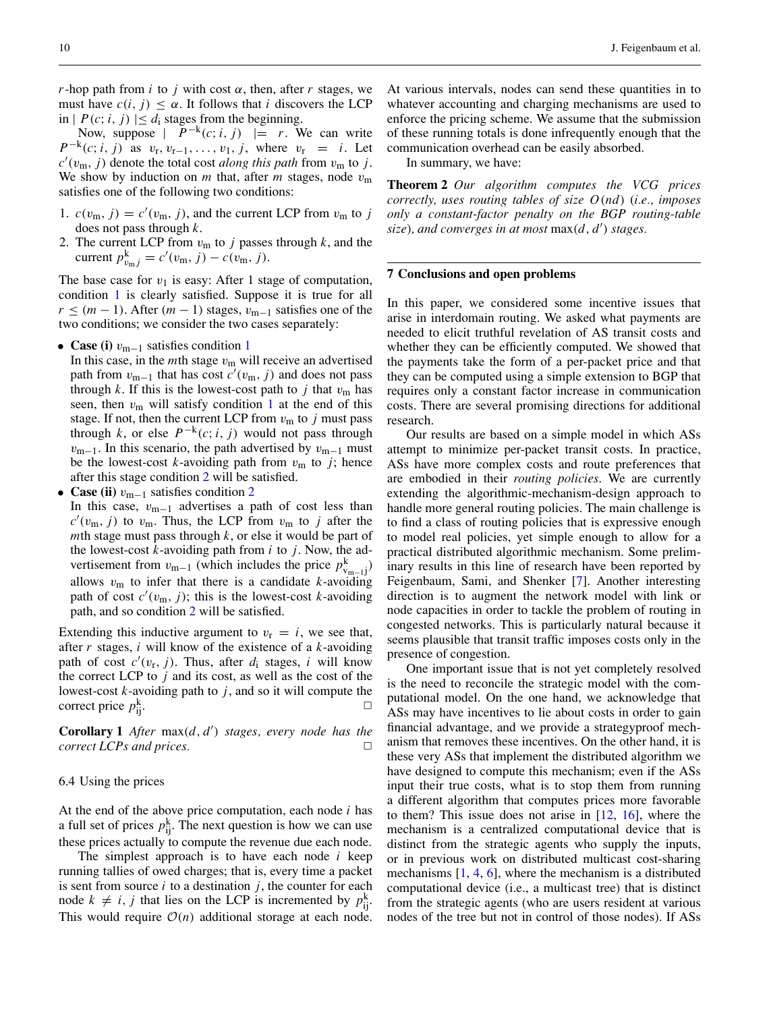*r*-hop path from *i* to *j* with cost  $\alpha$ , then, after *r* stages, we must have  $c(i, j) \leq \alpha$ . It follows that *i* discovers the LCP in  $| P(c; i, j) | \leq d_i$  stages from the beginning.

Now, suppose  $|P^{-k}(c; i, j)| = r$ . We can write  $P^{-k}(c; i, j)$  as  $v_r, v_{r-1}, \ldots, v_1, j$ , where  $v_r = i$ . Let  $c'(v_m, j)$  denote the total cost *along this path* from  $v_m$  to *j*. We show by induction on *m* that, after *m* stages, node  $v_m$ satisfies one of the following two conditions:

- <span id="page-9-1"></span>1.  $c(v_m, j) = c'(v_m, j)$ , and the current LCP from  $v_m$  to *j* does not pass through *k*.
- <span id="page-9-2"></span>2. The current LCP from  $v_m$  to *j* passes through  $k$ , and the current  $p_{v_{\rm m}j}^{\rm k} = c'(v_{\rm m}, j) - c(v_{\rm m}, j)$ .

The base case for  $v_1$  is easy: After 1 stage of computation, condition [1](#page-9-1) is clearly satisfied. Suppose it is true for all  $r \leq (m-1)$ . After  $(m-1)$  stages,  $v_{m-1}$  satisfies one of the two conditions; we consider the two cases separately:

• **Case (i)**  $v_{m-1}$  $v_{m-1}$  $v_{m-1}$  satisfies condition 1

In this case, in the *m*th stage  $v_m$  will receive an advertised path from  $v_{m-1}$  that has cost  $c'(v_m, j)$  and does not pass through  $k$ . If this is the lowest-cost path to  $j$  that  $v_m$  has seen, then  $v_m$  will satisfy condition [1](#page-9-1) at the end of this stage. If not, then the current LCP from  $v_m$  to *j* must pass through *k*, or else  $P^{-k}(c; i, j)$  would not pass through  $v_{m-1}$ . In this scenario, the path advertised by  $v_{m-1}$  must be the lowest-cost  $k$ -avoiding path from  $v_m$  to  $j$ ; hence after this stage condition [2](#page-9-2) will be satisfied.

• **Case (ii)**  $v_{m-1}$  satisfies condition [2](#page-9-2)

In this case,  $v_{m-1}$  advertises a path of cost less than  $c'(v_m, j)$  to  $v_m$ . Thus, the LCP from  $v_m$  to *j* after the *m*th stage must pass through *k*, or else it would be part of the lowest-cost *k*-avoiding path from *i* to *j*. Now, the advertisement from  $v_{m-1}$  (which includes the price  $p_{v_{m-1}j}^k$ ) allows  $v_m$  to infer that there is a candidate *k*-avoiding path of cost  $c'(v_m, j)$ ; this is the lowest-cost *k*-avoiding path, and so condition [2](#page-9-2) will be satisfied.

Extending this inductive argument to  $v_r = i$ , we see that, after *r* stages, *i* will know of the existence of a *k*-avoiding path of cost  $c'(v_r, j)$ . Thus, after  $d_i$  stages, *i* will know the correct LCP to *j* and its cost, as well as the cost of the lowest-cost *k*-avoiding path to *j*, and so it will compute the correct price  $p_{ii}^k$ .  $\mathbf{r}_i$ .

**Corollary 1** *After* max(*d*, *d* ) *stages, every node has the correct LCPs and prices.* □

#### 6.4 Using the prices

At the end of the above price computation, each node *i* has a full set of prices  $p_{ij}^k$ . The next question is how we can use these prices actually to compute the revenue due each node.

The simplest approach is to have each node *i* keep running tallies of owed charges; that is, every time a packet is sent from source *i* to a destination *j*, the counter for each node  $k \neq i$ , *j* that lies on the LCP is incremented by  $p_{ij}^k$ . This would require  $\mathcal{O}(n)$  additional storage at each node.

At various intervals, nodes can send these quantities in to whatever accounting and charging mechanisms are used to enforce the pricing scheme. We assume that the submission of these running totals is done infrequently enough that the communication overhead can be easily absorbed.

In summary, we have:

**Theorem 2** *Our algorithm computes the VCG prices correctly, uses routing tables of size O*(*nd*) (*i.e., imposes only a constant-factor penalty on the BGP routing-table size*)*, and converges in at most* max(*d*, *d* ) *stages.*

#### <span id="page-9-0"></span>**7 Conclusions and open problems**

In this paper, we considered some incentive issues that arise in interdomain routing. We asked what payments are needed to elicit truthful revelation of AS transit costs and whether they can be efficiently computed. We showed that the payments take the form of a per-packet price and that they can be computed using a simple extension to BGP that requires only a constant factor increase in communication costs. There are several promising directions for additional research.

Our results are based on a simple model in which ASs attempt to minimize per-packet transit costs. In practice, ASs have more complex costs and route preferences that are embodied in their *routing policies*. We are currently extending the algorithmic-mechanism-design approach to handle more general routing policies. The main challenge is to find a class of routing policies that is expressive enough to model real policies, yet simple enough to allow for a practical distributed algorithmic mechanism. Some preliminary results in this line of research have been reported by Feigenbaum, Sami, and Shenker [\[7](#page-10-17)]. Another interesting direction is to augment the network model with link or node capacities in order to tackle the problem of routing in congested networks. This is particularly natural because it seems plausible that transit traffic imposes costs only in the presence of congestion.

One important issue that is not yet completely resolved is the need to reconcile the strategic model with the computational model. On the one hand, we acknowledge that ASs may have incentives to lie about costs in order to gain financial advantage, and we provide a strategyproof mechanism that removes these incentives. On the other hand, it is these very ASs that implement the distributed algorithm we have designed to compute this mechanism; even if the ASs input their true costs, what is to stop them from running a different algorithm that computes prices more favorable to them? This issue does not arise in [\[12,](#page-10-1) [16\]](#page-10-0), where the mechanism is a centralized computational device that is distinct from the strategic agents who supply the inputs, or in previous work on distributed multicast cost-sharing mechanisms [\[1,](#page-10-5) [4](#page-10-6), [6\]](#page-10-7), where the mechanism is a distributed computational device (i.e., a multicast tree) that is distinct from the strategic agents (who are users resident at various nodes of the tree but not in control of those nodes). If ASs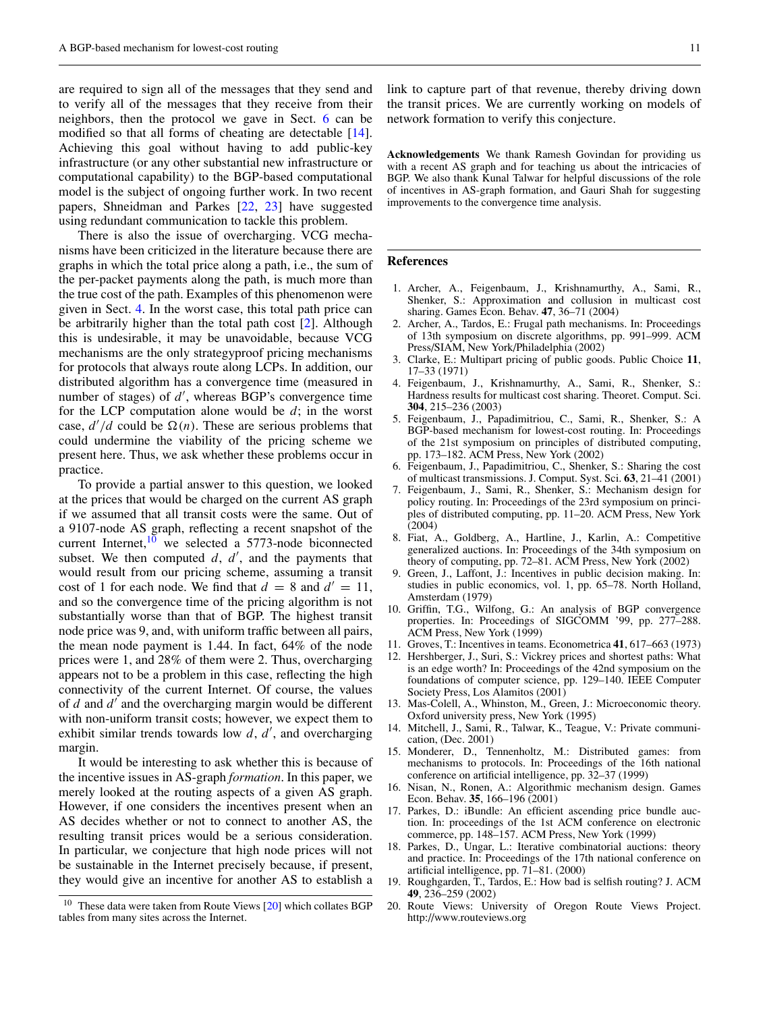are required to sign all of the messages that they send and to verify all of the messages that they receive from their neighbors, then the protocol we gave in Sect. [6](#page-6-0) can be modified so that all forms of cheating are detectable [\[14](#page-10-18)]. Achieving this goal without having to add public-key infrastructure (or any other substantial new infrastructure or computational capability) to the BGP-based computational model is the subject of ongoing further work. In two recent papers, Shneidman and Parkes [\[22,](#page-11-5) [23\]](#page-11-6) have suggested using redundant communication to tackle this problem.

There is also the issue of overcharging. VCG mechanisms have been criticized in the literature because there are graphs in which the total price along a path, i.e., the sum of the per-packet payments along the path, is much more than the true cost of the path. Examples of this phenomenon were given in Sect. [4.](#page-4-0) In the worst case, this total path price can be arbitrarily higher than the total path cost [\[2](#page-10-8)]. Although this is undesirable, it may be unavoidable, because VCG mechanisms are the only strategyproof pricing mechanisms for protocols that always route along LCPs. In addition, our distributed algorithm has a convergence time (measured in number of stages) of d', whereas BGP's convergence time for the LCP computation alone would be *d*; in the worst case,  $d'/d$  could be  $\Omega(n)$ . These are serious problems that could undermine the viability of the pricing scheme we present here. Thus, we ask whether these problems occur in practice.

To provide a partial answer to this question, we looked at the prices that would be charged on the current AS graph if we assumed that all transit costs were the same. Out of a 9107-node AS graph, reflecting a recent snapshot of the current Internet, $10$  we selected a 5773-node biconnected subset. We then computed  $d$ ,  $d'$ , and the payments that would result from our pricing scheme, assuming a transit cost of 1 for each node. We find that  $d = 8$  and  $d' = 11$ , and so the convergence time of the pricing algorithm is not substantially worse than that of BGP. The highest transit node price was 9, and, with uniform traffic between all pairs, the mean node payment is 1.44. In fact, 64% of the node prices were 1, and 28% of them were 2. Thus, overcharging appears not to be a problem in this case, reflecting the high connectivity of the current Internet. Of course, the values of *d* and *d'* and the overcharging margin would be different with non-uniform transit costs; however, we expect them to exhibit similar trends towards low  $d$ ,  $d'$ , and overcharging margin.

It would be interesting to ask whether this is because of the incentive issues in AS-graph *formation*. In this paper, we merely looked at the routing aspects of a given AS graph. However, if one considers the incentives present when an AS decides whether or not to connect to another AS, the resulting transit prices would be a serious consideration. In particular, we conjecture that high node prices will not be sustainable in the Internet precisely because, if present, they would give an incentive for another AS to establish a

link to capture part of that revenue, thereby driving down the transit prices. We are currently working on models of network formation to verify this conjecture.

**Acknowledgements** We thank Ramesh Govindan for providing us with a recent AS graph and for teaching us about the intricacies of BGP. We also thank Kunal Talwar for helpful discussions of the role of incentives in AS-graph formation, and Gauri Shah for suggesting improvements to the convergence time analysis.

### <span id="page-10-5"></span>**References**

- 1. Archer, A., Feigenbaum, J., Krishnamurthy, A., Sami, R., Shenker, S.: Approximation and collusion in multicast cost sharing. Games Econ. Behav. **47**, 36–71 (2004)
- <span id="page-10-8"></span>2. Archer, A., Tardos, E.: Frugal path mechanisms. In: Proceedings of 13th symposium on discrete algorithms, pp. 991–999. ACM Press/SIAM, New York/Philadelphia (2002)
- <span id="page-10-3"></span>3. Clarke, E.: Multipart pricing of public goods. Public Choice **11**, 17–33 (1971)
- <span id="page-10-6"></span>4. Feigenbaum, J., Krishnamurthy, A., Sami, R., Shenker, S.: Hardness results for multicast cost sharing. Theoret. Comput. Sci. **304**, 215–236 (2003)
- <span id="page-10-2"></span>5. Feigenbaum, J., Papadimitriou, C., Sami, R., Shenker, S.: A BGP-based mechanism for lowest-cost routing. In: Proceedings of the 21st symposium on principles of distributed computing, pp. 173–182. ACM Press, New York (2002)
- <span id="page-10-7"></span>6. Feigenbaum, J., Papadimitriou, C., Shenker, S.: Sharing the cost of multicast transmissions. J. Comput. Syst. Sci. **63**, 21–41 (2001)
- <span id="page-10-17"></span>7. Feigenbaum, J., Sami, R., Shenker, S.: Mechanism design for policy routing. In: Proceedings of the 23rd symposium on principles of distributed computing, pp. 11–20. ACM Press, New York (2004)
- <span id="page-10-9"></span>8. Fiat, A., Goldberg, A., Hartline, J., Karlin, A.: Competitive generalized auctions. In: Proceedings of the 34th symposium on theory of computing, pp. 72–81. ACM Press, New York (2002)
- <span id="page-10-15"></span>9. Green, J., Laffont, J.: Incentives in public decision making. In: studies in public economics, vol. 1, pp. 65–78. North Holland, Amsterdam (1979)
- <span id="page-10-16"></span>10. Griffin, T.G., Wilfong, G.: An analysis of BGP convergence properties. In: Proceedings of SIGCOMM '99, pp. 277–288. ACM Press, New York (1999)
- <span id="page-10-4"></span>11. Groves, T.: Incentives in teams. Econometrica **41**, 617–663 (1973)
- <span id="page-10-1"></span>12. Hershberger, J., Suri, S.: Vickrey prices and shortest paths: What is an edge worth? In: Proceedings of the 42nd symposium on the foundations of computer science, pp. 129–140. IEEE Computer Society Press, Los Alamitos (2001)
- <span id="page-10-14"></span>13. Mas-Colell, A., Whinston, M., Green, J.: Microeconomic theory. Oxford university press, New York (1995)
- <span id="page-10-18"></span>14. Mitchell, J., Sami, R., Talwar, K., Teague, V.: Private communication, (Dec. 2001)
- <span id="page-10-11"></span>15. Monderer, D., Tennenholtz, M.: Distributed games: from mechanisms to protocols. In: Proceedings of the 16th national conference on artificial intelligence, pp. 32–37 (1999)
- <span id="page-10-0"></span>Nisan, N., Ronen, A.: Algorithmic mechanism design. Games Econ. Behav. **35**, 166–196 (2001)
- <span id="page-10-12"></span>17. Parkes, D.: iBundle: An efficient ascending price bundle auction. In: proceedings of the 1st ACM conference on electronic commerce, pp. 148–157. ACM Press, New York (1999)
- <span id="page-10-13"></span>18. Parkes, D., Ungar, L.: Iterative combinatorial auctions: theory and practice. In: Proceedings of the 17th national conference on artificial intelligence, pp. 71–81. (2000)
- <span id="page-10-10"></span>19. Roughgarden, T., Tardos, E.: How bad is selfish routing? J. ACM **49**, 236–259 (2002)
- <span id="page-10-20"></span>20. Route Views: University of Oregon Route Views Project. http://www.routeviews.org

<span id="page-10-19"></span><sup>10</sup> These data were taken from Route Views [\[20\]](#page-10-20) which collates BGP tables from many sites across the Internet.